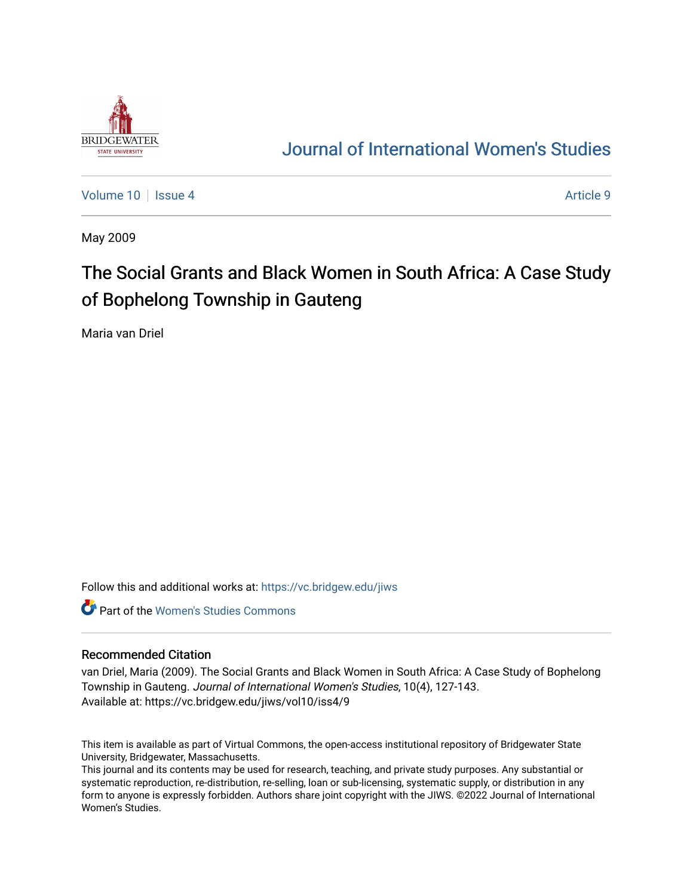

## [Journal of International Women's Studies](https://vc.bridgew.edu/jiws)

[Volume 10](https://vc.bridgew.edu/jiws/vol10) | [Issue 4](https://vc.bridgew.edu/jiws/vol10/iss4) Article 9

May 2009

# The Social Grants and Black Women in South Africa: A Case Study of Bophelong Township in Gauteng

Maria van Driel

Follow this and additional works at: [https://vc.bridgew.edu/jiws](https://vc.bridgew.edu/jiws?utm_source=vc.bridgew.edu%2Fjiws%2Fvol10%2Fiss4%2F9&utm_medium=PDF&utm_campaign=PDFCoverPages)

**C** Part of the Women's Studies Commons

#### Recommended Citation

van Driel, Maria (2009). The Social Grants and Black Women in South Africa: A Case Study of Bophelong Township in Gauteng. Journal of International Women's Studies, 10(4), 127-143. Available at: https://vc.bridgew.edu/jiws/vol10/iss4/9

This item is available as part of Virtual Commons, the open-access institutional repository of Bridgewater State University, Bridgewater, Massachusetts.

This journal and its contents may be used for research, teaching, and private study purposes. Any substantial or systematic reproduction, re-distribution, re-selling, loan or sub-licensing, systematic supply, or distribution in any form to anyone is expressly forbidden. Authors share joint copyright with the JIWS. ©2022 Journal of International Women's Studies.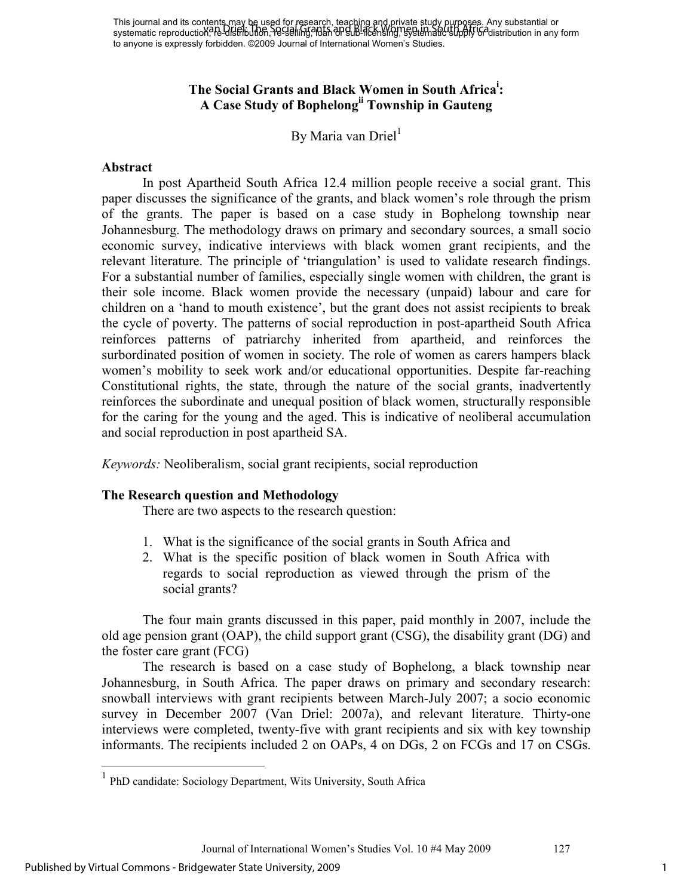## **The Social Grants and Black Women in South Africa<sup>i</sup> : A Case Study of Bophelongii Township in Gauteng**

By Maria van Driel<sup>1</sup>

#### **Abstract**

 In post Apartheid South Africa 12.4 million people receive a social grant. This paper discusses the significance of the grants, and black women's role through the prism of the grants. The paper is based on a case study in Bophelong township near Johannesburg. The methodology draws on primary and secondary sources, a small socio economic survey, indicative interviews with black women grant recipients, and the relevant literature. The principle of 'triangulation' is used to validate research findings. For a substantial number of families, especially single women with children, the grant is their sole income. Black women provide the necessary (unpaid) labour and care for children on a 'hand to mouth existence', but the grant does not assist recipients to break the cycle of poverty. The patterns of social reproduction in post-apartheid South Africa reinforces patterns of patriarchy inherited from apartheid, and reinforces the surbordinated position of women in society. The role of women as carers hampers black women's mobility to seek work and/or educational opportunities. Despite far-reaching Constitutional rights, the state, through the nature of the social grants, inadvertently reinforces the subordinate and unequal position of black women, structurally responsible for the caring for the young and the aged. This is indicative of neoliberal accumulation and social reproduction in post apartheid SA.

*Keywords:* Neoliberalism, social grant recipients, social reproduction

## **The Research question and Methodology**

There are two aspects to the research question:

- 1. What is the significance of the social grants in South Africa and
- 2. What is the specific position of black women in South Africa with regards to social reproduction as viewed through the prism of the social grants?

The four main grants discussed in this paper, paid monthly in 2007, include the old age pension grant (OAP), the child support grant (CSG), the disability grant (DG) and the foster care grant (FCG)

The research is based on a case study of Bophelong, a black township near Johannesburg, in South Africa. The paper draws on primary and secondary research: snowball interviews with grant recipients between March-July 2007; a socio economic survey in December 2007 (Van Driel: 2007a), and relevant literature. Thirty-one interviews were completed, twenty-five with grant recipients and six with key township informants. The recipients included 2 on OAPs, 4 on DGs, 2 on FCGs and 17 on CSGs.

 1 PhD candidate: Sociology Department, Wits University, South Africa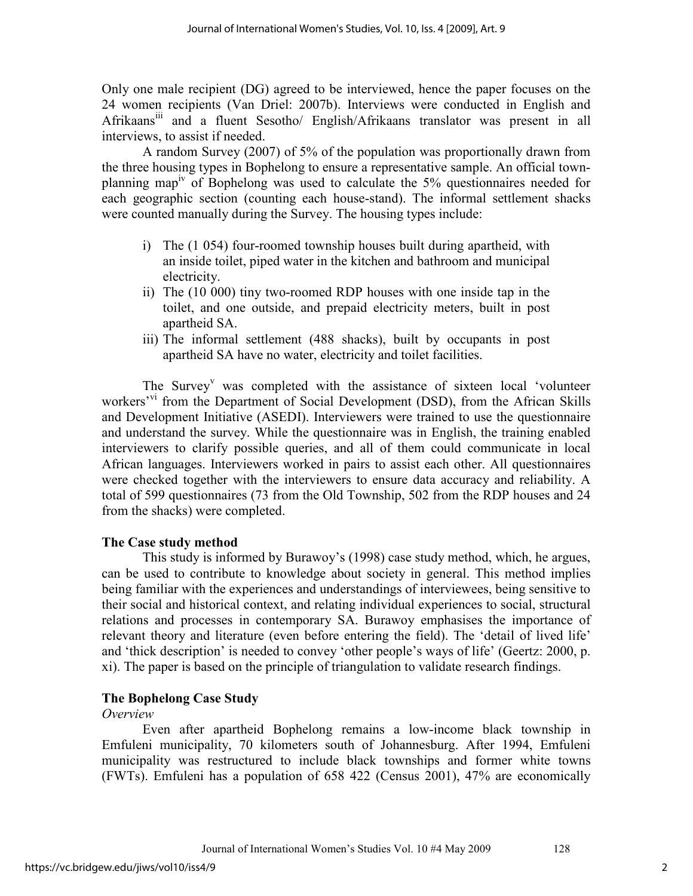Only one male recipient (DG) agreed to be interviewed, hence the paper focuses on the 24 women recipients (Van Driel: 2007b). Interviews were conducted in English and Afrikaansiii and a fluent Sesotho/ English/Afrikaans translator was present in all interviews, to assist if needed.

A random Survey (2007) of 5% of the population was proportionally drawn from the three housing types in Bophelong to ensure a representative sample. An official townplanning mapiv of Bophelong was used to calculate the 5% questionnaires needed for each geographic section (counting each house-stand). The informal settlement shacks were counted manually during the Survey. The housing types include:

- i) The (1 054) four-roomed township houses built during apartheid, with an inside toilet, piped water in the kitchen and bathroom and municipal electricity.
- ii) The (10 000) tiny two-roomed RDP houses with one inside tap in the toilet, and one outside, and prepaid electricity meters, built in post apartheid SA.
- iii) The informal settlement (488 shacks), built by occupants in post apartheid SA have no water, electricity and toilet facilities.

The Survey<sup>v</sup> was completed with the assistance of sixteen local 'volunteer workers<sup>'vi</sup> from the Department of Social Development (DSD), from the African Skills and Development Initiative (ASEDI). Interviewers were trained to use the questionnaire and understand the survey. While the questionnaire was in English, the training enabled interviewers to clarify possible queries, and all of them could communicate in local African languages. Interviewers worked in pairs to assist each other. All questionnaires were checked together with the interviewers to ensure data accuracy and reliability. A total of 599 questionnaires (73 from the Old Township, 502 from the RDP houses and 24 from the shacks) were completed.

## **The Case study method**

This study is informed by Burawoy's (1998) case study method, which, he argues, can be used to contribute to knowledge about society in general. This method implies being familiar with the experiences and understandings of interviewees, being sensitive to their social and historical context, and relating individual experiences to social, structural relations and processes in contemporary SA. Burawoy emphasises the importance of relevant theory and literature (even before entering the field). The 'detail of lived life' and 'thick description' is needed to convey 'other people's ways of life' (Geertz: 2000, p. xi). The paper is based on the principle of triangulation to validate research findings.

## **The Bophelong Case Study**

#### *Overview*

Even after apartheid Bophelong remains a low-income black township in Emfuleni municipality, 70 kilometers south of Johannesburg. After 1994, Emfuleni municipality was restructured to include black townships and former white towns (FWTs). Emfuleni has a population of 658 422 (Census 2001), 47% are economically

2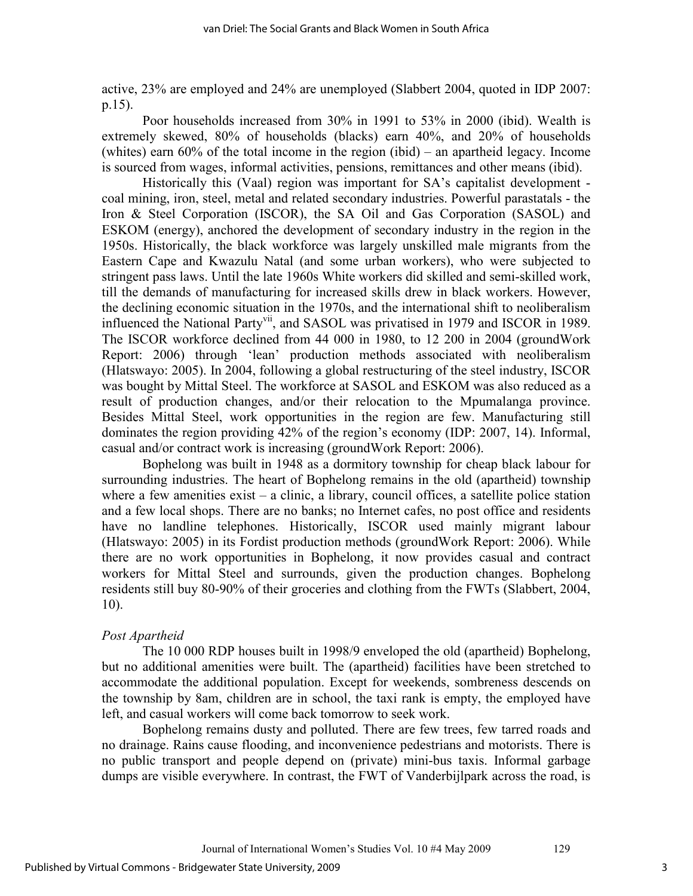active, 23% are employed and 24% are unemployed (Slabbert 2004, quoted in IDP 2007: p.15).

Poor households increased from 30% in 1991 to 53% in 2000 (ibid). Wealth is extremely skewed, 80% of households (blacks) earn 40%, and 20% of households (whites) earn 60% of the total income in the region (ibid) – an apartheid legacy. Income is sourced from wages, informal activities, pensions, remittances and other means (ibid).

Historically this (Vaal) region was important for SA's capitalist development coal mining, iron, steel, metal and related secondary industries. Powerful parastatals - the Iron & Steel Corporation (ISCOR), the SA Oil and Gas Corporation (SASOL) and ESKOM (energy), anchored the development of secondary industry in the region in the 1950s. Historically, the black workforce was largely unskilled male migrants from the Eastern Cape and Kwazulu Natal (and some urban workers), who were subjected to stringent pass laws. Until the late 1960s White workers did skilled and semi-skilled work, till the demands of manufacturing for increased skills drew in black workers. However, the declining economic situation in the 1970s, and the international shift to neoliberalism influenced the National Party<sup>vii</sup>, and SASOL was privatised in 1979 and ISCOR in 1989. The ISCOR workforce declined from 44 000 in 1980, to 12 200 in 2004 (groundWork Report: 2006) through 'lean' production methods associated with neoliberalism (Hlatswayo: 2005). In 2004, following a global restructuring of the steel industry, ISCOR was bought by Mittal Steel. The workforce at SASOL and ESKOM was also reduced as a result of production changes, and/or their relocation to the Mpumalanga province. Besides Mittal Steel, work opportunities in the region are few. Manufacturing still dominates the region providing 42% of the region's economy (IDP: 2007, 14). Informal, casual and/or contract work is increasing (groundWork Report: 2006).

Bophelong was built in 1948 as a dormitory township for cheap black labour for surrounding industries. The heart of Bophelong remains in the old (apartheid) township where a few amenities exist – a clinic, a library, council offices, a satellite police station and a few local shops. There are no banks; no Internet cafes, no post office and residents have no landline telephones. Historically, ISCOR used mainly migrant labour (Hlatswayo: 2005) in its Fordist production methods (groundWork Report: 2006). While there are no work opportunities in Bophelong, it now provides casual and contract workers for Mittal Steel and surrounds, given the production changes. Bophelong residents still buy 80-90% of their groceries and clothing from the FWTs (Slabbert, 2004, 10).

#### *Post Apartheid*

The 10 000 RDP houses built in 1998/9 enveloped the old (apartheid) Bophelong, but no additional amenities were built. The (apartheid) facilities have been stretched to accommodate the additional population. Except for weekends, sombreness descends on the township by 8am, children are in school, the taxi rank is empty, the employed have left, and casual workers will come back tomorrow to seek work.

Bophelong remains dusty and polluted. There are few trees, few tarred roads and no drainage. Rains cause flooding, and inconvenience pedestrians and motorists. There is no public transport and people depend on (private) mini-bus taxis. Informal garbage dumps are visible everywhere. In contrast, the FWT of Vanderbijlpark across the road, is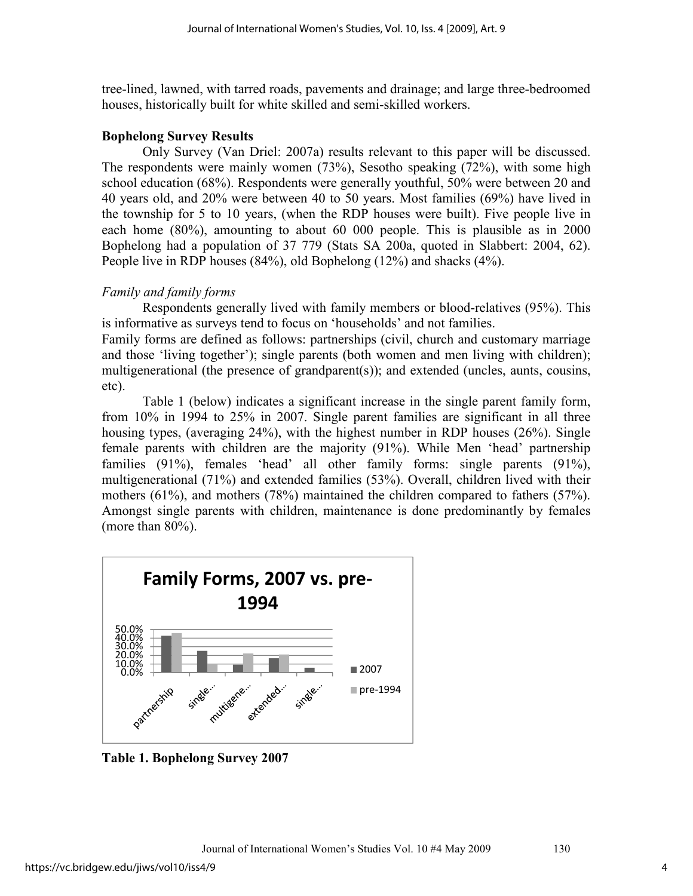tree-lined, lawned, with tarred roads, pavements and drainage; and large three-bedroomed houses, historically built for white skilled and semi-skilled workers.

#### **Bophelong Survey Results**

Only Survey (Van Driel: 2007a) results relevant to this paper will be discussed. The respondents were mainly women (73%), Sesotho speaking (72%), with some high school education (68%). Respondents were generally youthful, 50% were between 20 and 40 years old, and 20% were between 40 to 50 years. Most families (69%) have lived in the township for 5 to 10 years, (when the RDP houses were built). Five people live in each home (80%), amounting to about 60 000 people. This is plausible as in 2000 Bophelong had a population of 37 779 (Stats SA 200a, quoted in Slabbert: 2004, 62). People live in RDP houses (84%), old Bophelong (12%) and shacks (4%).

## *Family and family forms*

Respondents generally lived with family members or blood-relatives (95%). This is informative as surveys tend to focus on 'households' and not families.

Family forms are defined as follows: partnerships (civil, church and customary marriage and those 'living together'); single parents (both women and men living with children); multigenerational (the presence of grandparent(s)); and extended (uncles, aunts, cousins, etc).

Table 1 (below) indicates a significant increase in the single parent family form, from 10% in 1994 to 25% in 2007. Single parent families are significant in all three housing types, (averaging 24%), with the highest number in RDP houses (26%). Single female parents with children are the majority (91%). While Men 'head' partnership families (91%), females 'head' all other family forms: single parents (91%), multigenerational (71%) and extended families (53%). Overall, children lived with their mothers (61%), and mothers (78%) maintained the children compared to fathers (57%). Amongst single parents with children, maintenance is done predominantly by females (more than 80%).



**Table 1. Bophelong Survey 2007** 

4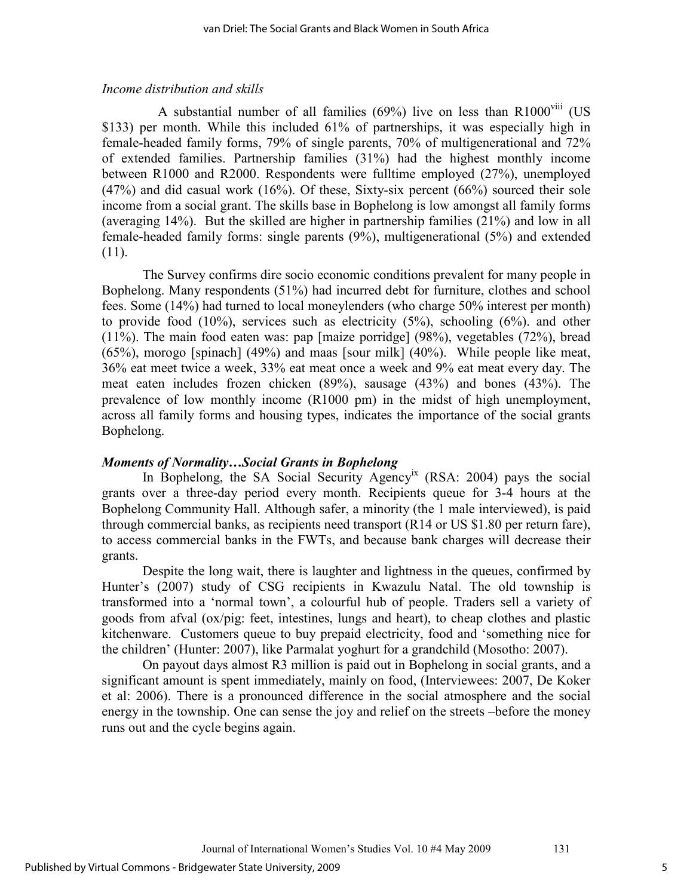#### *Income distribution and skills*

A substantial number of all families  $(69\%)$  live on less than R1000<sup>VIII</sup> (US \$133) per month. While this included 61% of partnerships, it was especially high in female-headed family forms, 79% of single parents, 70% of multigenerational and 72% of extended families. Partnership families (31%) had the highest monthly income between R1000 and R2000. Respondents were fulltime employed (27%), unemployed (47%) and did casual work (16%). Of these, Sixty-six percent (66%) sourced their sole income from a social grant. The skills base in Bophelong is low amongst all family forms (averaging 14%). But the skilled are higher in partnership families (21%) and low in all female-headed family forms: single parents (9%), multigenerational (5%) and extended (11).

The Survey confirms dire socio economic conditions prevalent for many people in Bophelong. Many respondents (51%) had incurred debt for furniture, clothes and school fees. Some (14%) had turned to local moneylenders (who charge 50% interest per month) to provide food  $(10\%)$ , services such as electricity  $(5\%)$ , schooling  $(6\%)$ , and other (11%). The main food eaten was: pap [maize porridge] (98%), vegetables (72%), bread (65%), morogo [spinach] (49%) and maas [sour milk] (40%). While people like meat, 36% eat meet twice a week, 33% eat meat once a week and 9% eat meat every day. The meat eaten includes frozen chicken (89%), sausage (43%) and bones (43%). The prevalence of low monthly income (R1000 pm) in the midst of high unemployment, across all family forms and housing types, indicates the importance of the social grants Bophelong.

#### *Moments of Normality…Social Grants in Bophelong*

In Bophelong, the SA Social Security Agency<sup>ix</sup> (RSA: 2004) pays the social grants over a three-day period every month. Recipients queue for 3-4 hours at the Bophelong Community Hall. Although safer, a minority (the 1 male interviewed), is paid through commercial banks, as recipients need transport (R14 or US \$1.80 per return fare), to access commercial banks in the FWTs, and because bank charges will decrease their grants.

Despite the long wait, there is laughter and lightness in the queues, confirmed by Hunter's (2007) study of CSG recipients in Kwazulu Natal. The old township is transformed into a 'normal town', a colourful hub of people. Traders sell a variety of goods from afval (ox/pig: feet, intestines, lungs and heart), to cheap clothes and plastic kitchenware. Customers queue to buy prepaid electricity, food and 'something nice for the children' (Hunter: 2007), like Parmalat yoghurt for a grandchild (Mosotho: 2007).

On payout days almost R3 million is paid out in Bophelong in social grants, and a significant amount is spent immediately, mainly on food, (Interviewees: 2007, De Koker et al: 2006). There is a pronounced difference in the social atmosphere and the social energy in the township. One can sense the joy and relief on the streets –before the money runs out and the cycle begins again.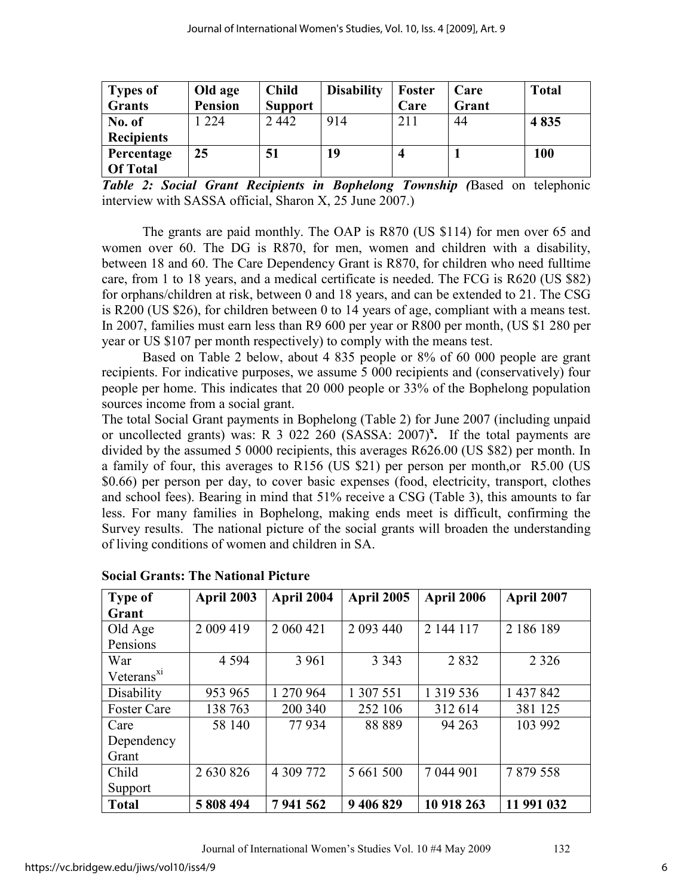| Types of          | Old age        | <b>Child</b>   | <b>Disability</b> | <b>Foster</b> | Care  | <b>Total</b> |
|-------------------|----------------|----------------|-------------------|---------------|-------|--------------|
| <b>Grants</b>     | <b>Pension</b> | <b>Support</b> |                   | Care          | Grant |              |
| No. of            | 224            | 2442           | 914               | 211           | 44    | 4835         |
| <b>Recipients</b> |                |                |                   |               |       |              |
| Percentage        | 25             | 51             | 19                |               |       | 100          |
| <b>Of Total</b>   |                |                |                   |               |       |              |

*Table 2: Social Grant Recipients in Bophelong Township (*Based on telephonic interview with SASSA official, Sharon X, 25 June 2007.)

The grants are paid monthly. The OAP is R870 (US \$114) for men over 65 and women over 60. The DG is R870, for men, women and children with a disability, between 18 and 60. The Care Dependency Grant is R870, for children who need fulltime care, from 1 to 18 years, and a medical certificate is needed. The FCG is R620 (US \$82) for orphans/children at risk, between 0 and 18 years, and can be extended to 21. The CSG is R200 (US \$26), for children between 0 to 14 years of age, compliant with a means test. In 2007, families must earn less than R9 600 per year or R800 per month, (US \$1 280 per year or US \$107 per month respectively) to comply with the means test.

Based on Table 2 below, about 4 835 people or 8% of 60 000 people are grant recipients. For indicative purposes, we assume 5 000 recipients and (conservatively) four people per home. This indicates that 20 000 people or 33% of the Bophelong population sources income from a social grant.

The total Social Grant payments in Bophelong (Table 2) for June 2007 (including unpaid or uncollected grants) was: R 3 022 260 (SASSA: 2007)<sup>x</sup>. If the total payments are divided by the assumed 5 0000 recipients, this averages R626.00 (US \$82) per month. In a family of four, this averages to R156 (US \$21) per person per month,or R5.00 (US \$0.66) per person per day, to cover basic expenses (food, electricity, transport, clothes and school fees). Bearing in mind that 51% receive a CSG (Table 3), this amounts to far less. For many families in Bophelong, making ends meet is difficult, confirming the Survey results. The national picture of the social grants will broaden the understanding of living conditions of women and children in SA.

| <b>Type of</b>         | April 2003 | April 2004 | April 2005 | April 2006    | April 2007 |
|------------------------|------------|------------|------------|---------------|------------|
| Grant                  |            |            |            |               |            |
| Old Age                | 2 009 419  | 2 060 421  | 2 093 440  | 2 144 117     | 2 186 189  |
| Pensions               |            |            |            |               |            |
| War                    | 4 5 9 4    | 3 9 6 1    | 3 3 4 3    | 2832          | 2 3 2 6    |
| Veterans <sup>xi</sup> |            |            |            |               |            |
| Disability             | 953 965    | 1 270 964  | 1 307 551  | 1 3 1 9 5 3 6 | 1 437 842  |
| <b>Foster Care</b>     | 138 763    | 200 340    | 252 106    | 312 614       | 381 125    |
| Care                   | 58 140     | 77934      | 88 889     | 94 263        | 103 992    |
| Dependency             |            |            |            |               |            |
| Grant                  |            |            |            |               |            |
| Child                  | 2 630 826  | 4 309 772  | 5 661 500  | 7 044 901     | 7879558    |
| Support                |            |            |            |               |            |
| <b>Total</b>           | 5 808 494  | 7941562    | 9 406 829  | 10 918 263    | 11 991 032 |

## **Social Grants: The National Picture**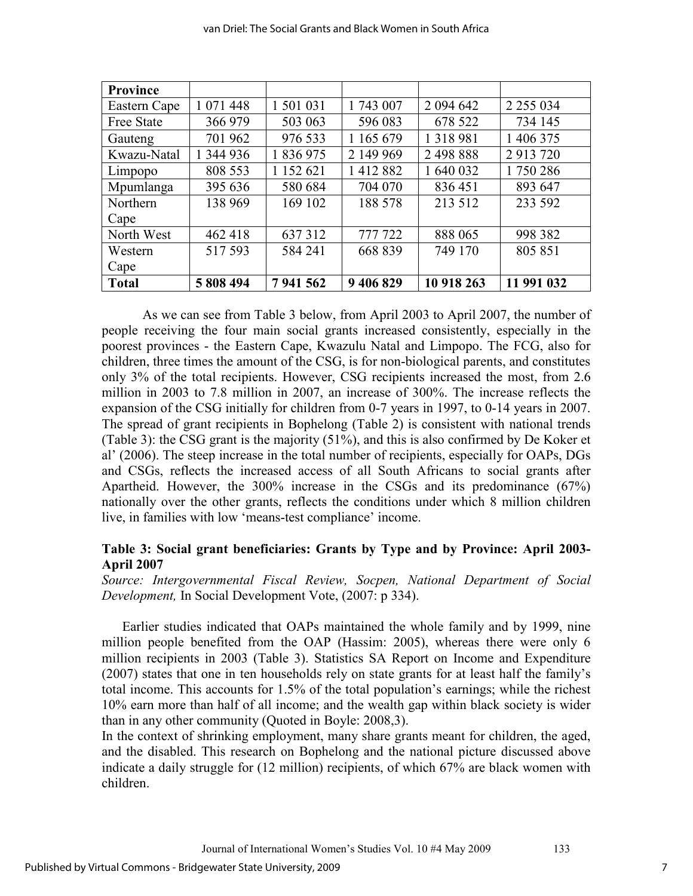|                 | van Driel: The Social Grants and Black Women in South Africa |           |           |               |               |  |
|-----------------|--------------------------------------------------------------|-----------|-----------|---------------|---------------|--|
|                 |                                                              |           |           |               |               |  |
| <b>Province</b> |                                                              |           |           |               |               |  |
| Eastern Cape    | 1 071 448                                                    | 1 501 031 | 1 743 007 | 2 0 9 4 6 4 2 | 2 2 5 5 0 3 4 |  |
| Free State      | 366 979                                                      | 503 063   | 596 083   | 678 522       | 734 145       |  |
| Gauteng         | 701 962                                                      | 976 533   | 1 165 679 | 1 3 1 8 9 8 1 | 1 406 375     |  |
| Kwazu-Natal     | 1 344 936                                                    | 1 836 975 | 2 149 969 | 2 498 888     | 2 913 720     |  |
| Limpopo         | 808 553                                                      | 1 152 621 | 1412882   | 1 640 032     | 1750286       |  |
| Mpumlanga       | 395 636                                                      | 580 684   | 704 070   | 836451        | 893 647       |  |

North West | 462 418 | 637 312 | 777 722 | 888 065 | 998 382

**Total 5 808 494 7 941 562 9 406 829 10 918 263 11 991 032** 

138 969 | 169 102 | 188 578 | 213 512 | 233 592

517 593 584 241 668 839 749 170 805 851

As we can see from Table 3 below, from April 2003 to April 2007, the number of people receiving the four main social grants increased consistently, especially in the poorest provinces - the Eastern Cape, Kwazulu Natal and Limpopo. The FCG, also for children, three times the amount of the CSG, is for non-biological parents, and constitutes only 3% of the total recipients. However, CSG recipients increased the most, from 2.6 million in 2003 to 7.8 million in 2007, an increase of 300%. The increase reflects the expansion of the CSG initially for children from 0-7 years in 1997, to 0-14 years in 2007. The spread of grant recipients in Bophelong (Table 2) is consistent with national trends (Table 3): the CSG grant is the majority (51%), and this is also confirmed by De Koker et al' (2006). The steep increase in the total number of recipients, especially for OAPs, DGs and CSGs, reflects the increased access of all South Africans to social grants after Apartheid. However, the 300% increase in the CSGs and its predominance (67%) nationally over the other grants, reflects the conditions under which 8 million children live, in families with low 'means-test compliance' income.

## **Table 3: Social grant beneficiaries: Grants by Type and by Province: April 2003- April 2007**

*Source: Intergovernmental Fiscal Review, Socpen, National Department of Social Development,* In Social Development Vote, (2007: p 334).

Earlier studies indicated that OAPs maintained the whole family and by 1999, nine million people benefited from the OAP (Hassim: 2005), whereas there were only 6 million recipients in 2003 (Table 3). Statistics SA Report on Income and Expenditure (2007) states that one in ten households rely on state grants for at least half the family's total income. This accounts for 1.5% of the total population's earnings; while the richest 10% earn more than half of all income; and the wealth gap within black society is wider than in any other community (Quoted in Boyle: 2008,3).

In the context of shrinking employment, many share grants meant for children, the aged, and the disabled. This research on Bophelong and the national picture discussed above indicate a daily struggle for (12 million) recipients, of which 67% are black women with children.

**Northern** Cape

Western Cape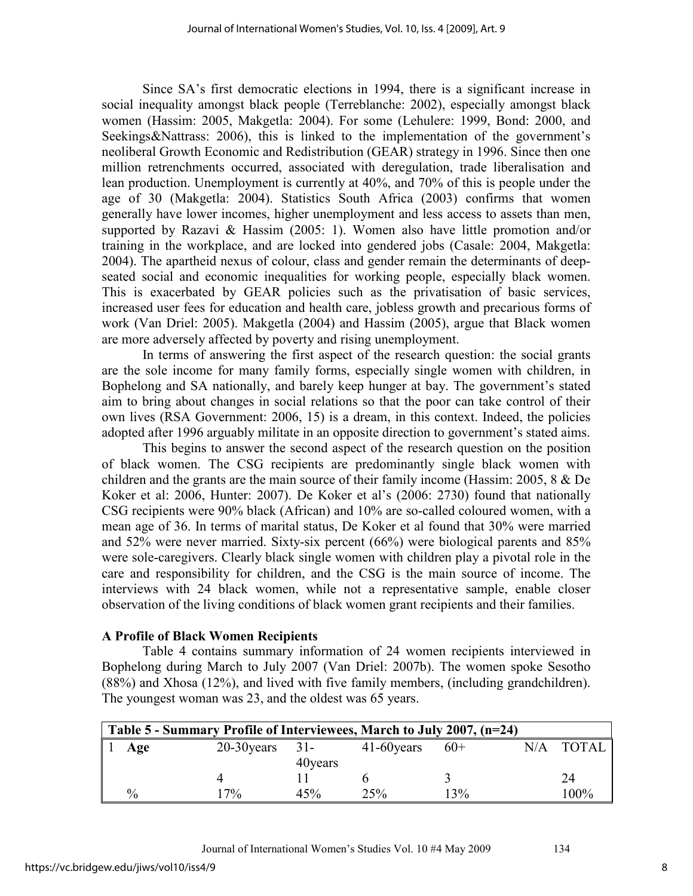Since SA's first democratic elections in 1994, there is a significant increase in social inequality amongst black people (Terreblanche: 2002), especially amongst black women (Hassim: 2005, Makgetla: 2004). For some (Lehulere: 1999, Bond: 2000, and Seekings&Nattrass: 2006), this is linked to the implementation of the government's neoliberal Growth Economic and Redistribution (GEAR) strategy in 1996. Since then one million retrenchments occurred, associated with deregulation, trade liberalisation and lean production. Unemployment is currently at 40%, and 70% of this is people under the age of 30 (Makgetla: 2004). Statistics South Africa (2003) confirms that women generally have lower incomes, higher unemployment and less access to assets than men, supported by Razavi & Hassim (2005: 1). Women also have little promotion and/or training in the workplace, and are locked into gendered jobs (Casale: 2004, Makgetla: 2004). The apartheid nexus of colour, class and gender remain the determinants of deepseated social and economic inequalities for working people, especially black women. This is exacerbated by GEAR policies such as the privatisation of basic services, increased user fees for education and health care, jobless growth and precarious forms of work (Van Driel: 2005). Makgetla (2004) and Hassim (2005), argue that Black women are more adversely affected by poverty and rising unemployment.

In terms of answering the first aspect of the research question: the social grants are the sole income for many family forms, especially single women with children, in Bophelong and SA nationally, and barely keep hunger at bay. The government's stated aim to bring about changes in social relations so that the poor can take control of their own lives (RSA Government: 2006, 15) is a dream, in this context. Indeed, the policies adopted after 1996 arguably militate in an opposite direction to government's stated aims.

This begins to answer the second aspect of the research question on the position of black women. The CSG recipients are predominantly single black women with children and the grants are the main source of their family income (Hassim: 2005, 8 & De Koker et al: 2006, Hunter: 2007). De Koker et al's (2006: 2730) found that nationally CSG recipients were 90% black (African) and 10% are so-called coloured women, with a mean age of 36. In terms of marital status, De Koker et al found that 30% were married and 52% were never married. Sixty-six percent (66%) were biological parents and 85% were sole-caregivers. Clearly black single women with children play a pivotal role in the care and responsibility for children, and the CSG is the main source of income. The interviews with 24 black women, while not a representative sample, enable closer observation of the living conditions of black women grant recipients and their families.

## **A Profile of Black Women Recipients**

Table 4 contains summary information of 24 women recipients interviewed in Bophelong during March to July 2007 (Van Driel: 2007b). The women spoke Sesotho (88%) and Xhosa (12%), and lived with five family members, (including grandchildren). The youngest woman was 23, and the oldest was 65 years.

| Table 5 - Summary Profile of Interviewees, March to July 2007, (n=24) |               |                   |               |       |     |              |
|-----------------------------------------------------------------------|---------------|-------------------|---------------|-------|-----|--------------|
| Age                                                                   | $20-30$ years | $31-$<br>40 years | $41-60$ years | $60+$ | N/A | <b>TOTAL</b> |
|                                                                       |               |                   |               |       |     | 24           |
| $\frac{0}{0}$                                                         | $7\%$         | 45%               | 25%           | 13%   |     | 100%         |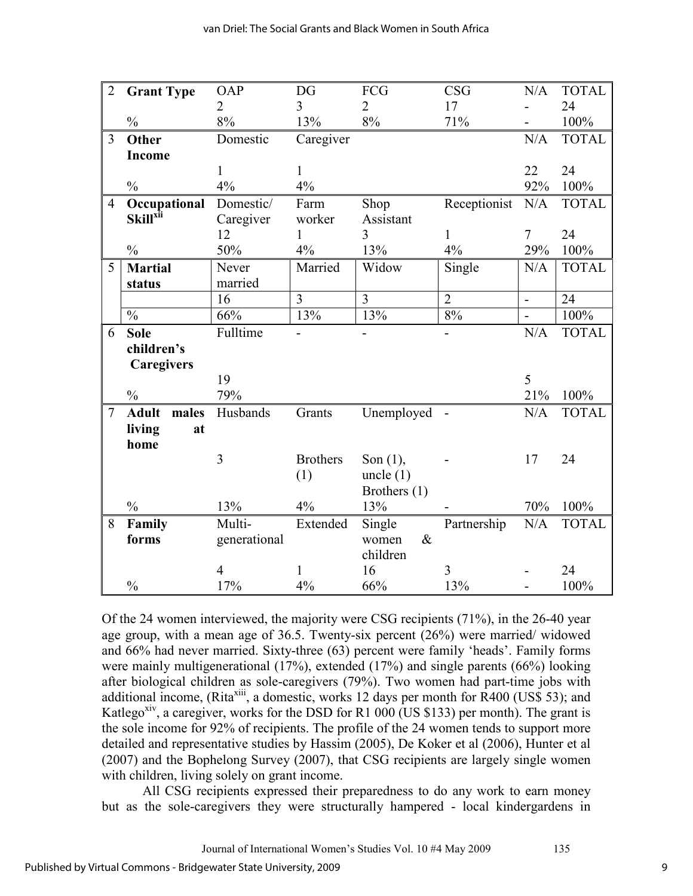| $\overline{2}$ | <b>Grant Type</b>           | <b>OAP</b>     | DG              | FCG            | <b>CSG</b>     | N/A            | <b>TOTAL</b> |
|----------------|-----------------------------|----------------|-----------------|----------------|----------------|----------------|--------------|
|                |                             | $\overline{2}$ | 3               | $\overline{2}$ | 17             |                | 24           |
|                | $\frac{0}{0}$               | 8%             | 13%             | 8%             | 71%            |                | 100%         |
| $\overline{3}$ | Other                       | Domestic       | Caregiver       |                |                | N/A            | <b>TOTAL</b> |
|                | Income                      |                |                 |                |                |                |              |
|                |                             | $\mathbf{1}$   | $\mathbf{1}$    |                |                | 22             | 24           |
|                | $\frac{0}{0}$               | 4%             | 4%              |                |                | 92%            | 100%         |
| $\overline{4}$ | Occupational                | Domestic/      | Farm            | Shop           | Receptionist   | N/A            | <b>TOTAL</b> |
|                | <b>Skill</b> <sup>xii</sup> | Caregiver      | worker          | Assistant      |                |                |              |
|                |                             | 12             | 1               | 3              | $\mathbf{1}$   | $\tau$         | 24           |
|                | $\frac{0}{0}$               | 50%            | 4%              | 13%            | 4%             | 29%            | 100%         |
| 5              | <b>Martial</b>              | Never          | Married         | Widow          | Single         | N/A            | <b>TOTAL</b> |
|                | status                      | married        |                 |                |                |                |              |
|                |                             | 16             | $\overline{3}$  | 3              | $\overline{2}$ | $\overline{a}$ | 24           |
|                | $\frac{0}{0}$               | 66%            | 13%             | 13%            | 8%             | $\blacksquare$ | 100%         |
| 6              | <b>Sole</b>                 | Fulltime       |                 |                |                | N/A            | <b>TOTAL</b> |
|                | children's                  |                |                 |                |                |                |              |
|                | Caregivers                  |                |                 |                |                |                |              |
|                |                             | 19             |                 |                |                | 5              |              |
|                | $\frac{0}{0}$               | 79%            |                 |                |                | 21%            | 100%         |
| $\overline{7}$ | <b>Adult</b><br>males       | Husbands       | Grants          | Unemployed     |                | N/A            | <b>TOTAL</b> |
|                | living<br>at                |                |                 |                |                |                |              |
|                | home                        |                |                 |                |                |                |              |
|                |                             | $\overline{3}$ | <b>Brothers</b> | Son $(1)$ ,    |                | 17             | 24           |
|                |                             |                | (1)             | uncle $(1)$    |                |                |              |
|                |                             |                |                 | Brothers (1)   |                |                |              |
|                | $\frac{0}{0}$               | 13%            | 4%              | 13%            |                | 70%            | 100%         |
| 8              | Family                      | Multi-         | Extended        | Single         | Partnership    | N/A            | <b>TOTAL</b> |
|                | forms                       | generational   |                 | $\&$<br>women  |                |                |              |
|                |                             |                |                 | children       |                |                |              |
|                |                             | $\overline{4}$ | 1               | 16             | 3              |                | 24           |
|                | $\frac{0}{0}$               | 17%            | 4%              | 66%            | 13%            |                | 100%         |

Of the 24 women interviewed, the majority were CSG recipients (71%), in the 26-40 year age group, with a mean age of 36.5. Twenty-six percent (26%) were married/ widowed and 66% had never married. Sixty-three (63) percent were family 'heads'. Family forms were mainly multigenerational (17%), extended (17%) and single parents (66%) looking after biological children as sole-caregivers (79%). Two women had part-time jobs with additional income, (Rita<sup>xiii</sup>, a domestic, works 12 days per month for R400 (US\$ 53); and Katlego<sup>xiv</sup>, a caregiver, works for the DSD for R1 000 (US \$133) per month). The grant is the sole income for 92% of recipients. The profile of the 24 women tends to support more detailed and representative studies by Hassim (2005), De Koker et al (2006), Hunter et al (2007) and the Bophelong Survey (2007), that CSG recipients are largely single women with children, living solely on grant income.

All CSG recipients expressed their preparedness to do any work to earn money but as the sole-caregivers they were structurally hampered - local kindergardens in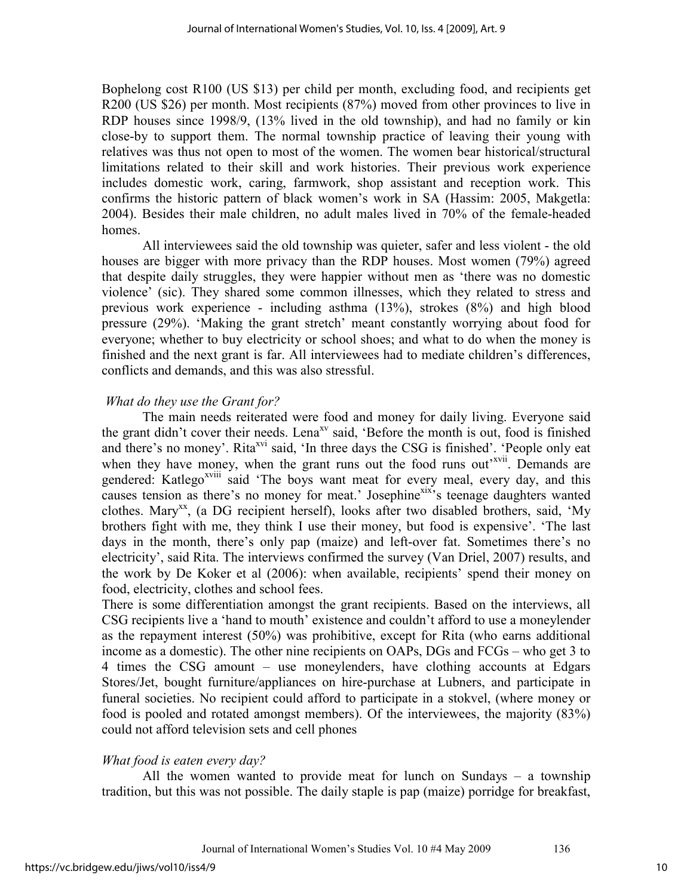Bophelong cost R100 (US \$13) per child per month, excluding food, and recipients get R200 (US \$26) per month. Most recipients (87%) moved from other provinces to live in RDP houses since 1998/9, (13% lived in the old township), and had no family or kin close-by to support them. The normal township practice of leaving their young with relatives was thus not open to most of the women. The women bear historical/structural limitations related to their skill and work histories. Their previous work experience includes domestic work, caring, farmwork, shop assistant and reception work. This confirms the historic pattern of black women's work in SA (Hassim: 2005, Makgetla: 2004). Besides their male children, no adult males lived in 70% of the female-headed homes.

All interviewees said the old township was quieter, safer and less violent - the old houses are bigger with more privacy than the RDP houses. Most women (79%) agreed that despite daily struggles, they were happier without men as 'there was no domestic violence' (sic). They shared some common illnesses, which they related to stress and previous work experience - including asthma (13%), strokes (8%) and high blood pressure (29%). 'Making the grant stretch' meant constantly worrying about food for everyone; whether to buy electricity or school shoes; and what to do when the money is finished and the next grant is far. All interviewees had to mediate children's differences, conflicts and demands, and this was also stressful.

## *What do they use the Grant for?*

 The main needs reiterated were food and money for daily living. Everyone said the grant didn't cover their needs. Lena<sup>xv</sup> said, 'Before the month is out, food is finished and there's no money'. Rita<sup>xvi</sup> said, 'In three days the CSG is finished'. 'People only eat when they have money, when the grant runs out the food runs out<sup>'xvii</sup>. Demands are gendered: Katlego<sup>xviii</sup> said 'The boys want meat for every meal, every day, and this causes tension as there's no money for meat.' Josephine<sup>xix</sup>'s teenage daughters wanted clothes. Mary<sup>xx</sup>, (a DG recipient herself), looks after two disabled brothers, said, 'My brothers fight with me, they think I use their money, but food is expensive'. 'The last days in the month, there's only pap (maize) and left-over fat. Sometimes there's no electricity', said Rita. The interviews confirmed the survey (Van Driel, 2007) results, and the work by De Koker et al (2006): when available, recipients' spend their money on food, electricity, clothes and school fees.

There is some differentiation amongst the grant recipients. Based on the interviews, all CSG recipients live a 'hand to mouth' existence and couldn't afford to use a moneylender as the repayment interest (50%) was prohibitive, except for Rita (who earns additional income as a domestic). The other nine recipients on OAPs, DGs and FCGs – who get 3 to 4 times the CSG amount – use moneylenders, have clothing accounts at Edgars Stores/Jet, bought furniture/appliances on hire-purchase at Lubners, and participate in funeral societies. No recipient could afford to participate in a stokvel, (where money or food is pooled and rotated amongst members). Of the interviewees, the majority (83%) could not afford television sets and cell phones

## *What food is eaten every day?*

All the women wanted to provide meat for lunch on Sundays – a township tradition, but this was not possible. The daily staple is pap (maize) porridge for breakfast,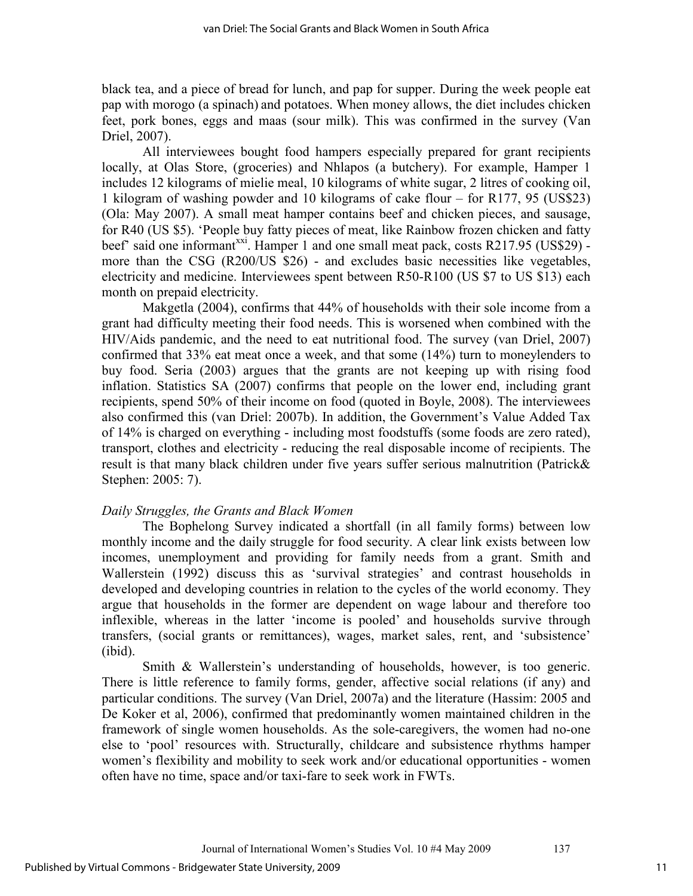black tea, and a piece of bread for lunch, and pap for supper. During the week people eat pap with morogo (a spinach) and potatoes. When money allows, the diet includes chicken feet, pork bones, eggs and maas (sour milk). This was confirmed in the survey (Van Driel, 2007).

All interviewees bought food hampers especially prepared for grant recipients locally, at Olas Store, (groceries) and Nhlapos (a butchery). For example, Hamper 1 includes 12 kilograms of mielie meal, 10 kilograms of white sugar, 2 litres of cooking oil, 1 kilogram of washing powder and 10 kilograms of cake flour – for R177, 95 (US\$23) (Ola: May 2007). A small meat hamper contains beef and chicken pieces, and sausage, for R40 (US \$5). 'People buy fatty pieces of meat, like Rainbow frozen chicken and fatty beef' said one informant<sup>xxi</sup>. Hamper 1 and one small meat pack, costs R217.95 (US\$29) more than the CSG (R200/US \$26) - and excludes basic necessities like vegetables, electricity and medicine. Interviewees spent between R50-R100 (US \$7 to US \$13) each month on prepaid electricity.

Makgetla (2004), confirms that 44% of households with their sole income from a grant had difficulty meeting their food needs. This is worsened when combined with the HIV/Aids pandemic, and the need to eat nutritional food. The survey (van Driel, 2007) confirmed that 33% eat meat once a week, and that some (14%) turn to moneylenders to buy food. Seria (2003) argues that the grants are not keeping up with rising food inflation. Statistics SA (2007) confirms that people on the lower end, including grant recipients, spend 50% of their income on food (quoted in Boyle, 2008). The interviewees also confirmed this (van Driel: 2007b). In addition, the Government's Value Added Tax of 14% is charged on everything - including most foodstuffs (some foods are zero rated), transport, clothes and electricity - reducing the real disposable income of recipients. The result is that many black children under five years suffer serious malnutrition (Patrick& Stephen: 2005: 7).

#### *Daily Struggles, the Grants and Black Women*

The Bophelong Survey indicated a shortfall (in all family forms) between low monthly income and the daily struggle for food security. A clear link exists between low incomes, unemployment and providing for family needs from a grant. Smith and Wallerstein (1992) discuss this as 'survival strategies' and contrast households in developed and developing countries in relation to the cycles of the world economy. They argue that households in the former are dependent on wage labour and therefore too inflexible, whereas in the latter 'income is pooled' and households survive through transfers, (social grants or remittances), wages, market sales, rent, and 'subsistence' (ibid).

Smith & Wallerstein's understanding of households, however, is too generic. There is little reference to family forms, gender, affective social relations (if any) and particular conditions. The survey (Van Driel, 2007a) and the literature (Hassim: 2005 and De Koker et al, 2006), confirmed that predominantly women maintained children in the framework of single women households. As the sole-caregivers, the women had no-one else to 'pool' resources with. Structurally, childcare and subsistence rhythms hamper women's flexibility and mobility to seek work and/or educational opportunities - women often have no time, space and/or taxi-fare to seek work in FWTs.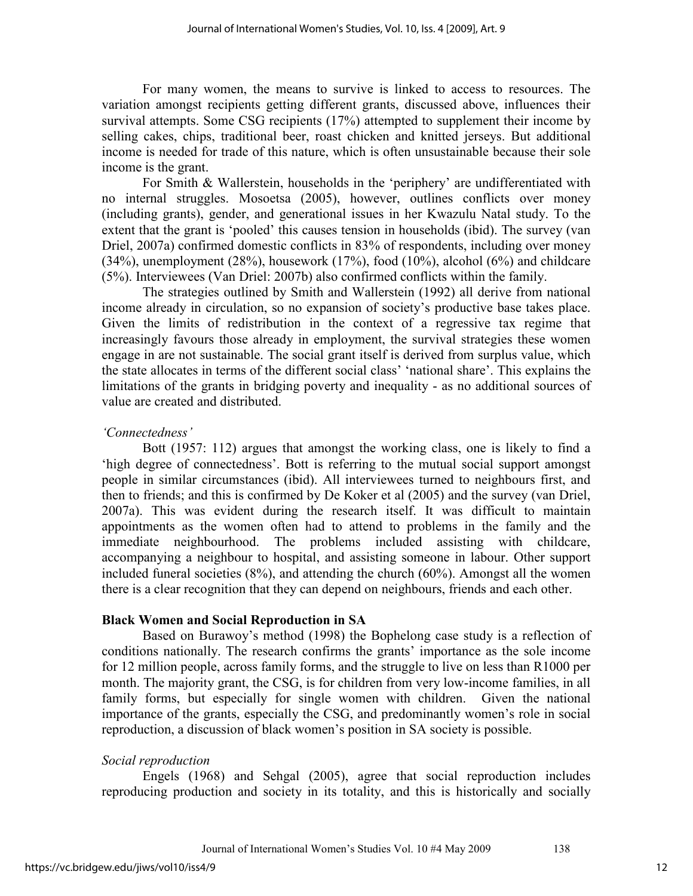For many women, the means to survive is linked to access to resources. The variation amongst recipients getting different grants, discussed above, influences their survival attempts. Some CSG recipients (17%) attempted to supplement their income by selling cakes, chips, traditional beer, roast chicken and knitted jerseys. But additional income is needed for trade of this nature, which is often unsustainable because their sole income is the grant.

 For Smith & Wallerstein, households in the 'periphery' are undifferentiated with no internal struggles. Mosoetsa (2005), however, outlines conflicts over money (including grants), gender, and generational issues in her Kwazulu Natal study. To the extent that the grant is 'pooled' this causes tension in households (ibid). The survey (van Driel, 2007a) confirmed domestic conflicts in 83% of respondents, including over money (34%), unemployment (28%), housework (17%), food (10%), alcohol (6%) and childcare (5%). Interviewees (Van Driel: 2007b) also confirmed conflicts within the family.

The strategies outlined by Smith and Wallerstein (1992) all derive from national income already in circulation, so no expansion of society's productive base takes place. Given the limits of redistribution in the context of a regressive tax regime that increasingly favours those already in employment, the survival strategies these women engage in are not sustainable. The social grant itself is derived from surplus value, which the state allocates in terms of the different social class' 'national share'. This explains the limitations of the grants in bridging poverty and inequality - as no additional sources of value are created and distributed.

## *'Connectedness'*

Bott (1957: 112) argues that amongst the working class, one is likely to find a 'high degree of connectedness'. Bott is referring to the mutual social support amongst people in similar circumstances (ibid). All interviewees turned to neighbours first, and then to friends; and this is confirmed by De Koker et al (2005) and the survey (van Driel, 2007a). This was evident during the research itself. It was difficult to maintain appointments as the women often had to attend to problems in the family and the immediate neighbourhood. The problems included assisting with childcare, accompanying a neighbour to hospital, and assisting someone in labour. Other support included funeral societies  $(8\%)$ , and attending the church  $(60\%)$ . Amongst all the women there is a clear recognition that they can depend on neighbours, friends and each other.

## **Black Women and Social Reproduction in SA**

Based on Burawoy's method (1998) the Bophelong case study is a reflection of conditions nationally. The research confirms the grants' importance as the sole income for 12 million people, across family forms, and the struggle to live on less than R1000 per month. The majority grant, the CSG, is for children from very low-income families, in all family forms, but especially for single women with children. Given the national importance of the grants, especially the CSG, and predominantly women's role in social reproduction, a discussion of black women's position in SA society is possible.

## *Social reproduction*

Engels (1968) and Sehgal (2005), agree that social reproduction includes reproducing production and society in its totality, and this is historically and socially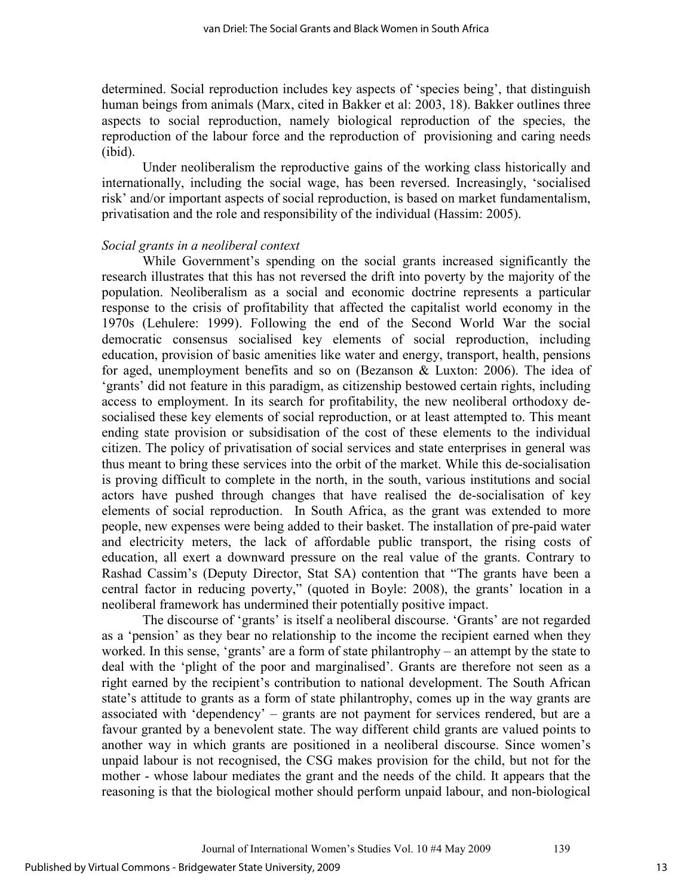determined. Social reproduction includes key aspects of 'species being', that distinguish human beings from animals (Marx, cited in Bakker et al: 2003, 18). Bakker outlines three aspects to social reproduction, namely biological reproduction of the species, the reproduction of the labour force and the reproduction of provisioning and caring needs (ibid).

Under neoliberalism the reproductive gains of the working class historically and internationally, including the social wage, has been reversed. Increasingly, 'socialised risk' and/or important aspects of social reproduction, is based on market fundamentalism, privatisation and the role and responsibility of the individual (Hassim: 2005).

#### *Social grants in a neoliberal context*

While Government's spending on the social grants increased significantly the research illustrates that this has not reversed the drift into poverty by the majority of the population. Neoliberalism as a social and economic doctrine represents a particular response to the crisis of profitability that affected the capitalist world economy in the 1970s (Lehulere: 1999). Following the end of the Second World War the social democratic consensus socialised key elements of social reproduction, including education, provision of basic amenities like water and energy, transport, health, pensions for aged, unemployment benefits and so on (Bezanson & Luxton: 2006). The idea of 'grants' did not feature in this paradigm, as citizenship bestowed certain rights, including access to employment. In its search for profitability, the new neoliberal orthodoxy desocialised these key elements of social reproduction, or at least attempted to. This meant ending state provision or subsidisation of the cost of these elements to the individual citizen. The policy of privatisation of social services and state enterprises in general was thus meant to bring these services into the orbit of the market. While this de-socialisation is proving difficult to complete in the north, in the south, various institutions and social actors have pushed through changes that have realised the de-socialisation of key elements of social reproduction. In South Africa, as the grant was extended to more people, new expenses were being added to their basket. The installation of pre-paid water and electricity meters, the lack of affordable public transport, the rising costs of education, all exert a downward pressure on the real value of the grants. Contrary to Rashad Cassim's (Deputy Director, Stat SA) contention that "The grants have been a central factor in reducing poverty," (quoted in Boyle: 2008), the grants' location in a neoliberal framework has undermined their potentially positive impact.

The discourse of 'grants' is itself a neoliberal discourse. 'Grants' are not regarded as a 'pension' as they bear no relationship to the income the recipient earned when they worked. In this sense, 'grants' are a form of state philantrophy – an attempt by the state to deal with the 'plight of the poor and marginalised'. Grants are therefore not seen as a right earned by the recipient's contribution to national development. The South African state's attitude to grants as a form of state philantrophy, comes up in the way grants are associated with 'dependency' – grants are not payment for services rendered, but are a favour granted by a benevolent state. The way different child grants are valued points to another way in which grants are positioned in a neoliberal discourse. Since women's unpaid labour is not recognised, the CSG makes provision for the child, but not for the mother - whose labour mediates the grant and the needs of the child. It appears that the reasoning is that the biological mother should perform unpaid labour, and non-biological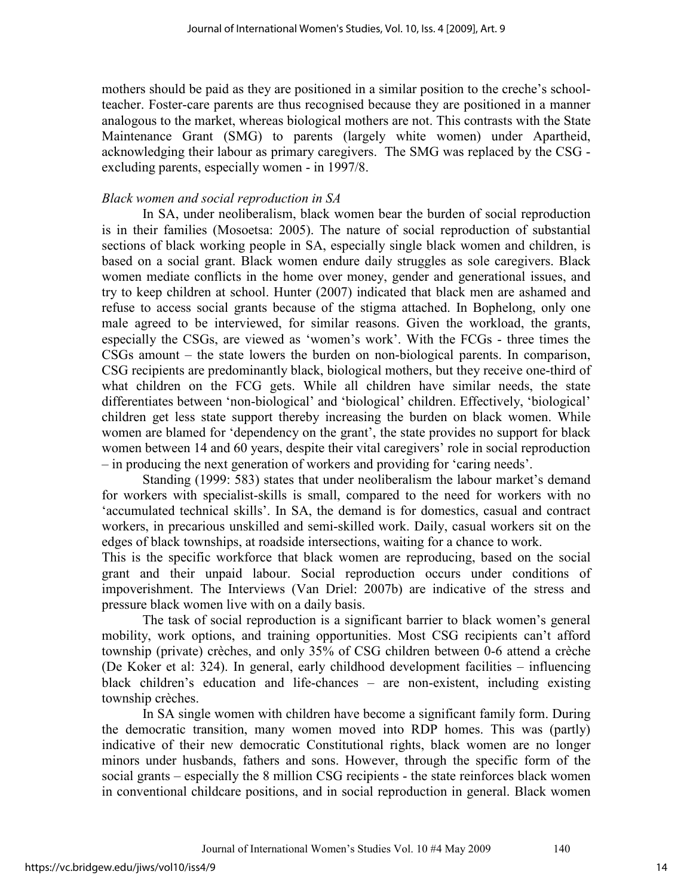mothers should be paid as they are positioned in a similar position to the creche's schoolteacher. Foster-care parents are thus recognised because they are positioned in a manner analogous to the market, whereas biological mothers are not. This contrasts with the State Maintenance Grant (SMG) to parents (largely white women) under Apartheid, acknowledging their labour as primary caregivers. The SMG was replaced by the CSG excluding parents, especially women - in 1997/8.

#### *Black women and social reproduction in SA*

In SA, under neoliberalism, black women bear the burden of social reproduction is in their families (Mosoetsa: 2005). The nature of social reproduction of substantial sections of black working people in SA, especially single black women and children, is based on a social grant. Black women endure daily struggles as sole caregivers. Black women mediate conflicts in the home over money, gender and generational issues, and try to keep children at school. Hunter (2007) indicated that black men are ashamed and refuse to access social grants because of the stigma attached. In Bophelong, only one male agreed to be interviewed, for similar reasons. Given the workload, the grants, especially the CSGs, are viewed as 'women's work'. With the FCGs - three times the CSGs amount – the state lowers the burden on non-biological parents. In comparison, CSG recipients are predominantly black, biological mothers, but they receive one-third of what children on the FCG gets. While all children have similar needs, the state differentiates between 'non-biological' and 'biological' children. Effectively, 'biological' children get less state support thereby increasing the burden on black women. While women are blamed for 'dependency on the grant', the state provides no support for black women between 14 and 60 years, despite their vital caregivers' role in social reproduction – in producing the next generation of workers and providing for 'caring needs'.

Standing (1999: 583) states that under neoliberalism the labour market's demand for workers with specialist-skills is small, compared to the need for workers with no 'accumulated technical skills'. In SA, the demand is for domestics, casual and contract workers, in precarious unskilled and semi-skilled work. Daily, casual workers sit on the edges of black townships, at roadside intersections, waiting for a chance to work.

This is the specific workforce that black women are reproducing, based on the social grant and their unpaid labour. Social reproduction occurs under conditions of impoverishment. The Interviews (Van Driel: 2007b) are indicative of the stress and pressure black women live with on a daily basis.

The task of social reproduction is a significant barrier to black women's general mobility, work options, and training opportunities. Most CSG recipients can't afford township (private) crèches, and only 35% of CSG children between 0-6 attend a crèche (De Koker et al: 324). In general, early childhood development facilities – influencing black children's education and life-chances – are non-existent, including existing township crèches.

In SA single women with children have become a significant family form. During the democratic transition, many women moved into RDP homes. This was (partly) indicative of their new democratic Constitutional rights, black women are no longer minors under husbands, fathers and sons. However, through the specific form of the social grants – especially the 8 million CSG recipients - the state reinforces black women in conventional childcare positions, and in social reproduction in general. Black women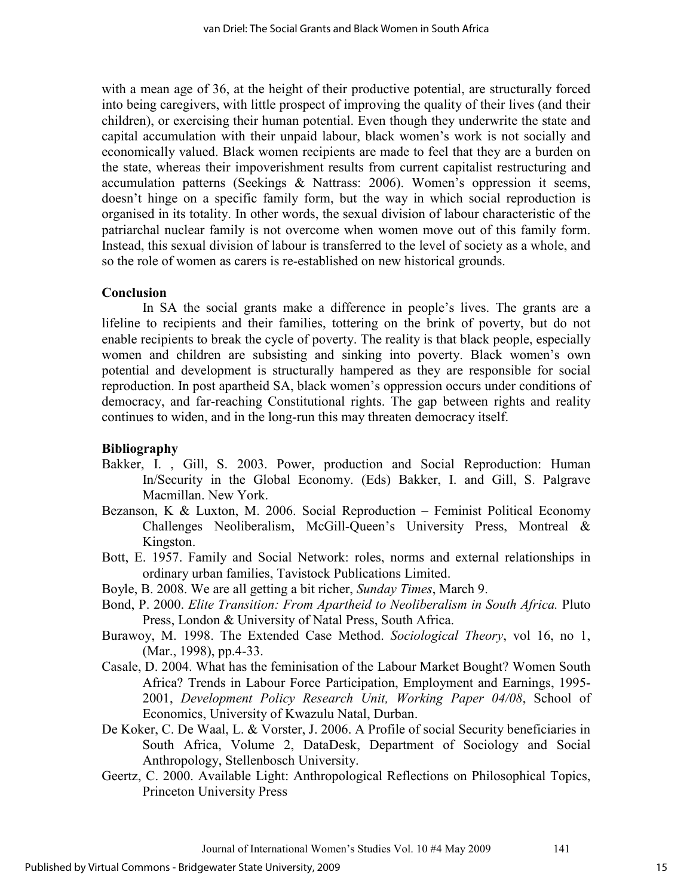with a mean age of 36, at the height of their productive potential, are structurally forced into being caregivers, with little prospect of improving the quality of their lives (and their children), or exercising their human potential. Even though they underwrite the state and capital accumulation with their unpaid labour, black women's work is not socially and economically valued. Black women recipients are made to feel that they are a burden on the state, whereas their impoverishment results from current capitalist restructuring and accumulation patterns (Seekings & Nattrass: 2006). Women's oppression it seems, doesn't hinge on a specific family form, but the way in which social reproduction is organised in its totality. In other words, the sexual division of labour characteristic of the patriarchal nuclear family is not overcome when women move out of this family form. Instead, this sexual division of labour is transferred to the level of society as a whole, and so the role of women as carers is re-established on new historical grounds.

#### **Conclusion**

 In SA the social grants make a difference in people's lives. The grants are a lifeline to recipients and their families, tottering on the brink of poverty, but do not enable recipients to break the cycle of poverty. The reality is that black people, especially women and children are subsisting and sinking into poverty. Black women's own potential and development is structurally hampered as they are responsible for social reproduction. In post apartheid SA, black women's oppression occurs under conditions of democracy, and far-reaching Constitutional rights. The gap between rights and reality continues to widen, and in the long-run this may threaten democracy itself.

#### **Bibliography**

- Bakker, I. , Gill, S. 2003. Power, production and Social Reproduction: Human In/Security in the Global Economy. (Eds) Bakker, I. and Gill, S. Palgrave Macmillan. New York.
- Bezanson, K & Luxton, M. 2006. Social Reproduction Feminist Political Economy Challenges Neoliberalism, McGill-Queen's University Press, Montreal & Kingston.
- Bott, E. 1957. Family and Social Network: roles, norms and external relationships in ordinary urban families, Tavistock Publications Limited.
- Boyle, B. 2008. We are all getting a bit richer, *Sunday Times*, March 9.
- Bond, P. 2000. *Elite Transition: From Apartheid to Neoliberalism in South Africa.* Pluto Press, London & University of Natal Press, South Africa.
- Burawoy, M. 1998. The Extended Case Method. *Sociological Theory*, vol 16, no 1, (Mar., 1998), pp.4-33.
- Casale, D. 2004. What has the feminisation of the Labour Market Bought? Women South Africa? Trends in Labour Force Participation, Employment and Earnings, 1995- 2001, *Development Policy Research Unit, Working Paper 04/08*, School of Economics, University of Kwazulu Natal, Durban.
- De Koker, C. De Waal, L. & Vorster, J. 2006. A Profile of social Security beneficiaries in South Africa, Volume 2, DataDesk, Department of Sociology and Social Anthropology, Stellenbosch University.
- Geertz, C. 2000. Available Light: Anthropological Reflections on Philosophical Topics, Princeton University Press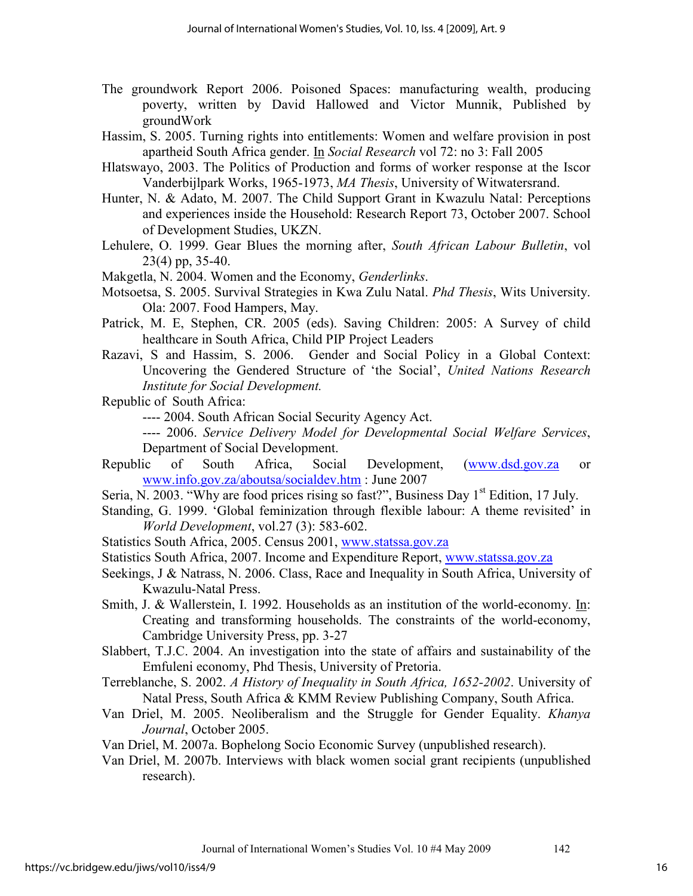- The groundwork Report 2006. Poisoned Spaces: manufacturing wealth, producing poverty, written by David Hallowed and Victor Munnik, Published by groundWork
- Hassim, S. 2005. Turning rights into entitlements: Women and welfare provision in post apartheid South Africa gender. In *Social Research* vol 72: no 3: Fall 2005
- Hlatswayo, 2003. The Politics of Production and forms of worker response at the Iscor Vanderbijlpark Works, 1965-1973, *MA Thesis*, University of Witwatersrand.
- Hunter, N. & Adato, M. 2007. The Child Support Grant in Kwazulu Natal: Perceptions and experiences inside the Household: Research Report 73, October 2007. School of Development Studies, UKZN.
- Lehulere, O. 1999. Gear Blues the morning after, *South African Labour Bulletin*, vol 23(4) pp, 35-40.
- Makgetla, N. 2004. Women and the Economy, *Genderlinks*.
- Motsoetsa, S. 2005. Survival Strategies in Kwa Zulu Natal. *Phd Thesis*, Wits University. Ola: 2007. Food Hampers, May.
- Patrick, M. E, Stephen, CR. 2005 (eds). Saving Children: 2005: A Survey of child healthcare in South Africa, Child PIP Project Leaders
- Razavi, S and Hassim, S. 2006. Gender and Social Policy in a Global Context: Uncovering the Gendered Structure of 'the Social', *United Nations Research Institute for Social Development.*
- Republic of South Africa:
	- ---- 2004. South African Social Security Agency Act.
	- ---- 2006. *Service Delivery Model for Developmental Social Welfare Services*, Department of Social Development.
- Republic of South Africa, Social Development, (www.dsd.gov.za or www.info.gov.za/aboutsa/socialdev.htm : June 2007
- Seria, N. 2003. "Why are food prices rising so fast?", Business Day 1<sup>st</sup> Edition, 17 July.
- Standing, G. 1999. 'Global feminization through flexible labour: A theme revisited' in *World Development*, vol.27 (3): 583-602.

Statistics South Africa, 2005. Census 2001, www.statssa.gov.za

- Statistics South Africa, 2007. Income and Expenditure Report, www.statssa.gov.za
- Seekings, J & Natrass, N. 2006. Class, Race and Inequality in South Africa, University of Kwazulu-Natal Press.
- Smith, J. & Wallerstein, I. 1992. Households as an institution of the world-economy. In: Creating and transforming households. The constraints of the world-economy, Cambridge University Press, pp. 3-27
- Slabbert, T.J.C. 2004. An investigation into the state of affairs and sustainability of the Emfuleni economy, Phd Thesis, University of Pretoria.
- Terreblanche, S. 2002. *A History of Inequality in South Africa, 1652-2002*. University of Natal Press, South Africa & KMM Review Publishing Company, South Africa.
- Van Driel, M. 2005. Neoliberalism and the Struggle for Gender Equality. *Khanya Journal*, October 2005.
- Van Driel, M. 2007a. Bophelong Socio Economic Survey (unpublished research).
- Van Driel, M. 2007b. Interviews with black women social grant recipients (unpublished research).